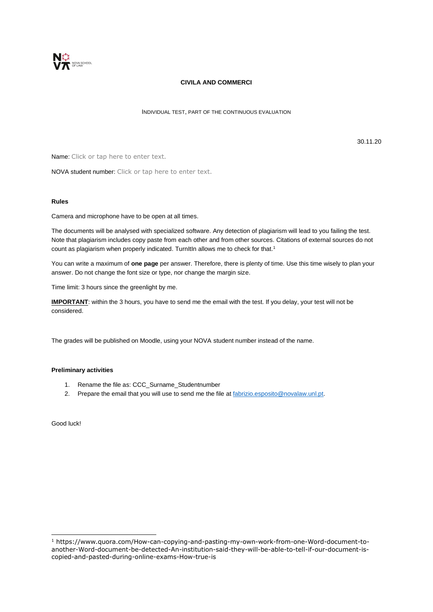

### **CIVILA AND COMMERCI**

INDIVIDUAL TEST, PART OF THE CONTINUOUS EVALUATION

30.11.20

Name: Click or tap here to enter text.

NOVA student number: Click or tap here to enter text.

#### **Rules**

Camera and microphone have to be open at all times.

The documents will be analysed with specialized software. Any detection of plagiarism will lead to you failing the test. Note that plagiarism includes copy paste from each other and from other sources. Citations of external sources do not count as plagiarism when properly indicated. TurnItIn allows me to check for that.<sup>1</sup>

You can write a maximum of **one page** per answer. Therefore, there is plenty of time. Use this time wisely to plan your answer. Do not change the font size or type, nor change the margin size.

Time limit: 3 hours since the greenlight by me.

**IMPORTANT**: within the 3 hours, you have to send me the email with the test. If you delay, your test will not be considered.

The grades will be published on Moodle, using your NOVA student number instead of the name.

### **Preliminary activities**

- 1. Rename the file as: CCC\_Surname\_Studentnumber
- 2. Prepare the email that you will use to send me the file a[t fabrizio.esposito@novalaw.unl.pt.](mailto:fabrizio.esposito@novalaw.unl.pt)

Good luck!

<sup>1</sup> https://www.quora.com/How-can-copying-and-pasting-my-own-work-from-one-Word-document-toanother-Word-document-be-detected-An-institution-said-they-will-be-able-to-tell-if-our-document-iscopied-and-pasted-during-online-exams-How-true-is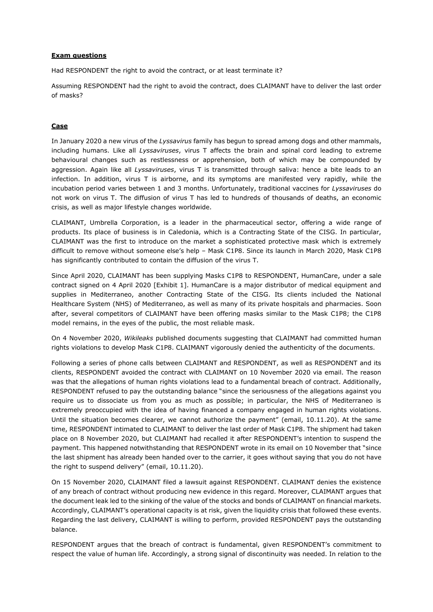### **Exam questions**

Had RESPONDENT the right to avoid the contract, or at least terminate it?

Assuming RESPONDENT had the right to avoid the contract, does CLAIMANT have to deliver the last order of masks?

## **Case**

In January 2020 a new virus of the *Lyssavirus* family has begun to spread among dogs and other mammals, including humans. Like all *Lyssaviruses*, virus T affects the brain and spinal cord leading to extreme behavioural changes such as restlessness or apprehension, both of which may be compounded by aggression. Again like all *Lyssaviruses*, virus T is transmitted through saliva: hence a bite leads to an infection. In addition, virus T is airborne, and its symptoms are manifested very rapidly, while the incubation period varies between 1 and 3 months. Unfortunately, traditional vaccines for *Lyssaviruses* do not work on virus T. The diffusion of virus T has led to hundreds of thousands of deaths, an economic crisis, as well as major lifestyle changes worldwide.

CLAIMANT, Umbrella Corporation, is a leader in the pharmaceutical sector, offering a wide range of products. Its place of business is in Caledonia, which is a Contracting State of the CISG. In particular, CLAIMANT was the first to introduce on the market a sophisticated protective mask which is extremely difficult to remove without someone else's help – Mask C1P8. Since its launch in March 2020, Mask C1P8 has significantly contributed to contain the diffusion of the virus T.

Since April 2020, CLAIMANT has been supplying Masks C1P8 to RESPONDENT, HumanCare, under a sale contract signed on 4 April 2020 [Exhibit 1]. HumanCare is a major distributor of medical equipment and supplies in Mediterraneo, another Contracting State of the CISG. Its clients included the National Healthcare System (NHS) of Mediterraneo, as well as many of its private hospitals and pharmacies. Soon after, several competitors of CLAIMANT have been offering masks similar to the Mask C1P8; the C1P8 model remains, in the eyes of the public, the most reliable mask.

On 4 November 2020, *Wikileaks* published documents suggesting that CLAIMANT had committed human rights violations to develop Mask C1P8. CLAIMANT vigorously denied the authenticity of the documents.

Following a series of phone calls between CLAIMANT and RESPONDENT, as well as RESPONDENT and its clients, RESPONDENT avoided the contract with CLAIMANT on 10 November 2020 via email. The reason was that the allegations of human rights violations lead to a fundamental breach of contract. Additionally, RESPONDENT refused to pay the outstanding balance "since the seriousness of the allegations against you require us to dissociate us from you as much as possible; in particular, the NHS of Mediterraneo is extremely preoccupied with the idea of having financed a company engaged in human rights violations. Until the situation becomes clearer, we cannot authorize the payment" (email, 10.11.20). At the same time, RESPONDENT intimated to CLAIMANT to deliver the last order of Mask C1P8. The shipment had taken place on 8 November 2020, but CLAIMANT had recalled it after RESPONDENT's intention to suspend the payment. This happened notwithstanding that RESPONDENT wrote in its email on 10 November that "since the last shipment has already been handed over to the carrier, it goes without saying that you do not have the right to suspend delivery" (email, 10.11.20).

On 15 November 2020, CLAIMANT filed a lawsuit against RESPONDENT. CLAIMANT denies the existence of any breach of contract without producing new evidence in this regard. Moreover, CLAIMANT argues that the document leak led to the sinking of the value of the stocks and bonds of CLAIMANT on financial markets. Accordingly, CLAIMANT's operational capacity is at risk, given the liquidity crisis that followed these events. Regarding the last delivery, CLAIMANT is willing to perform, provided RESPONDENT pays the outstanding balance.

RESPONDENT argues that the breach of contract is fundamental, given RESPONDENT's commitment to respect the value of human life. Accordingly, a strong signal of discontinuity was needed. In relation to the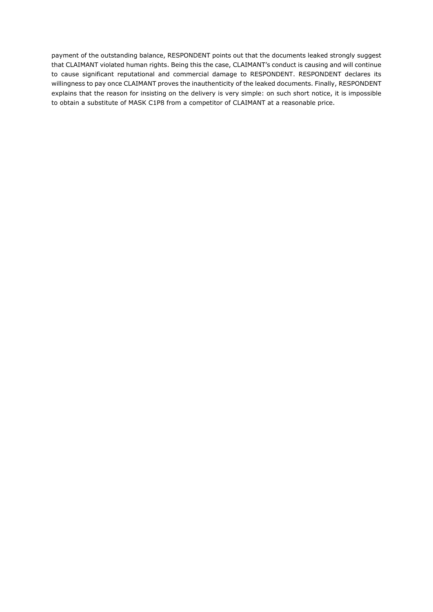payment of the outstanding balance, RESPONDENT points out that the documents leaked strongly suggest that CLAIMANT violated human rights. Being this the case, CLAIMANT's conduct is causing and will continue to cause significant reputational and commercial damage to RESPONDENT. RESPONDENT declares its willingness to pay once CLAIMANT proves the inauthenticity of the leaked documents. Finally, RESPONDENT explains that the reason for insisting on the delivery is very simple: on such short notice, it is impossible to obtain a substitute of MASK C1P8 from a competitor of CLAIMANT at a reasonable price.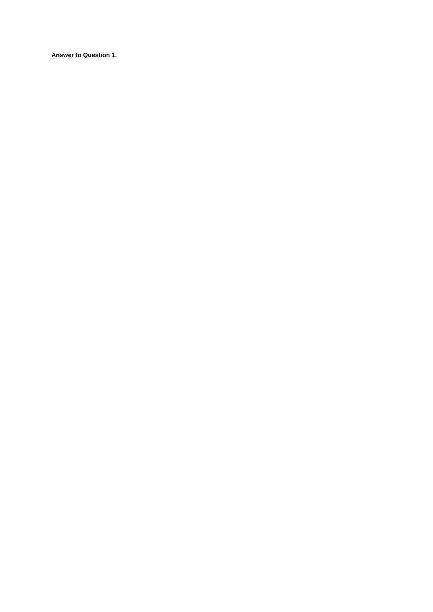**Answer to Question 1.**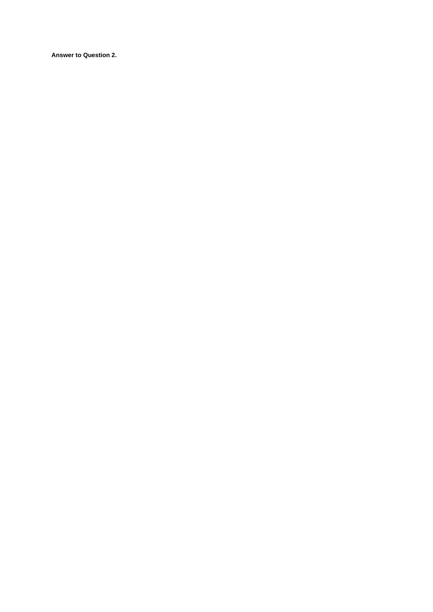**Answer to Question 2.**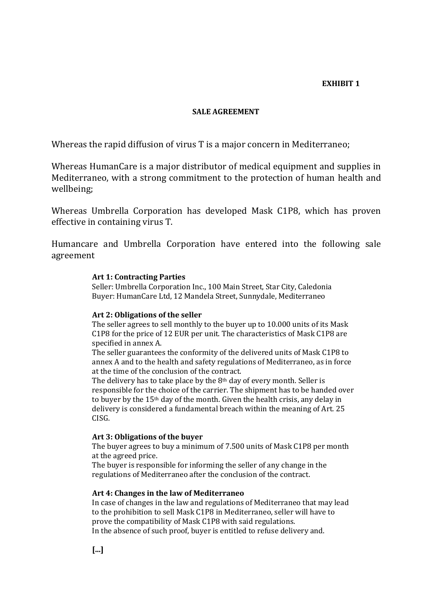# **EXHIBIT 1**

# **SALE AGREEMENT**

Whereas the rapid diffusion of virus T is a major concern in Mediterraneo;

Whereas HumanCare is a major distributor of medical equipment and supplies in Mediterraneo, with a strong commitment to the protection of human health and wellbeing;

Whereas Umbrella Corporation has developed Mask C1P8, which has proven effective in containing virus T.

Humancare and Umbrella Corporation have entered into the following sale agreement

# **Art 1: Contracting Parties**

Seller: Umbrella Corporation Inc., 100 Main Street, Star City, Caledonia Buyer: HumanCare Ltd, 12 Mandela Street, Sunnydale, Mediterraneo

# **Art 2: Obligations of the seller**

The seller agrees to sell monthly to the buyer up to 10.000 units of its Mask C1P8 for the price of 12 EUR per unit. The characteristics of Mask C1P8 are specified in annex A.

The seller guarantees the conformity of the delivered units of Mask C1P8 to annex A and to the health and safety regulations of Mediterraneo, as in force at the time of the conclusion of the contract.

The delivery has to take place by the 8th day of every month. Seller is responsible for the choice of the carrier. The shipment has to be handed over to buyer by the 15th day of the month. Given the health crisis, any delay in delivery is considered a fundamental breach within the meaning of Art. 25 CISG.

# **Art 3: Obligations of the buyer**

The buyer agrees to buy a minimum of 7.500 units of Mask C1P8 per month at the agreed price.

The buyer is responsible for informing the seller of any change in the regulations of Mediterraneo after the conclusion of the contract.

### **Art 4: Changes in the law of Mediterraneo**

In case of changes in the law and regulations of Mediterraneo that may lead to the prohibition to sell Mask C1P8 in Mediterraneo, seller will have to prove the compatibility of Mask C1P8 with said regulations. In the absence of such proof, buyer is entitled to refuse delivery and.